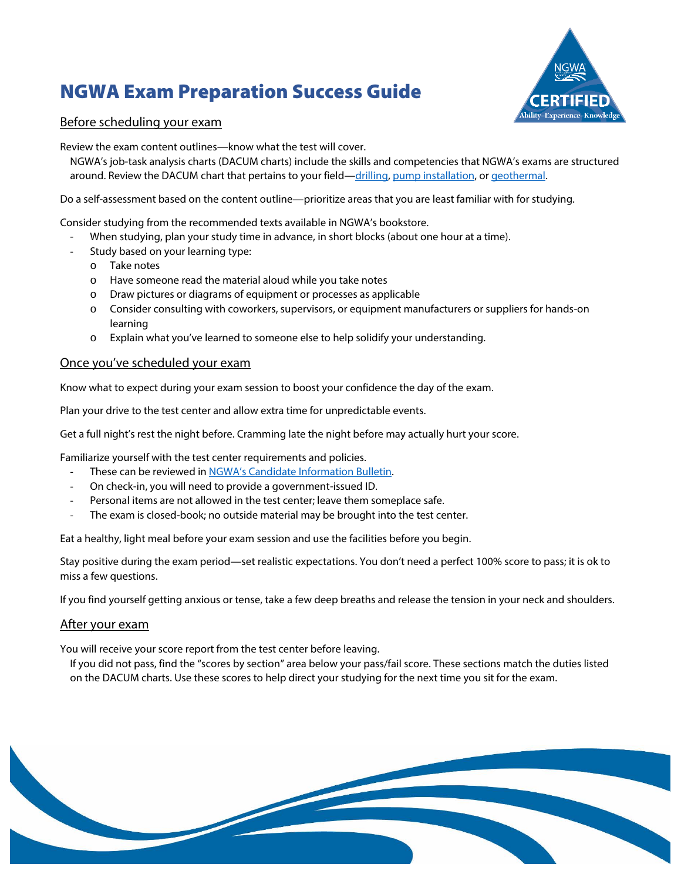# NGWA Exam Preparation Success Guide



### Before scheduling your exam

Review the exam content outlines—know what the test will cover.

NGWA's job-task analysis charts (DACUM charts) include the skills and competencies that NGWA's exams are structured around. Review the DACUM chart that pertains to your field[—drilling,](https://www.ngwa.org/docs/default-source/default-document-library/careers/taskchartdrill.pdf?sfvrsn=63d472ae_2) [pump installation,](https://www.ngwa.org/docs/default-source/default-document-library/careers/taskchartpumps.pdf?sfvrsn=fddeb631_2) or geothermal.

Do a self-assessment based on the content outline—prioritize areas that you are least familiar with for studying.

Consider studying from the recommended texts available in NGWA's bookstore.

- When studying, plan your study time in advance, in short blocks (about one hour at a time).
- Study based on your learning type:
	- o Take notes
	- o Have someone read the material aloud while you take notes
	- o Draw pictures or diagrams of equipment or processes as applicable
	- o Consider consulting with coworkers, supervisors, or equipment manufacturers or suppliers for hands-on learning
	- o Explain what you've learned to someone else to help solidify your understanding.

#### Once you've scheduled your exam

Know what to expect during your exam session to boost your confidence the day of the exam.

Plan your drive to the test center and allow extra time for unpredictable events.

Get a full night's rest the night before. Cramming late the night before may actually hurt your score.

Familiarize yourself with the test center requirements and policies.

- These can be reviewed in [NGWA's Candidate Information Bulletin.](https://candidate.psiexams.com/bulletin/display_bulletin.jsp?ro=yes&actionname=83&bulletinid=446&bulletinurl=.pdf)
- On check-in, you will need to provide a government-issued ID.
- Personal items are not allowed in the test center; leave them someplace safe.
- The exam is closed-book; no outside material may be brought into the test center.

Eat a healthy, light meal before your exam session and use the facilities before you begin.

Stay positive during the exam period—set realistic expectations. You don't need a perfect 100% score to pass; it is ok to miss a few questions.

If you find yourself getting anxious or tense, take a few deep breaths and release the tension in your neck and shoulders.

#### After your exam

You will receive your score report from the test center before leaving.

If you did not pass, find the "scores by section" area below your pass/fail score. These sections match the duties listed on the DACUM charts. Use these scores to help direct your studying for the next time you sit for the exam.

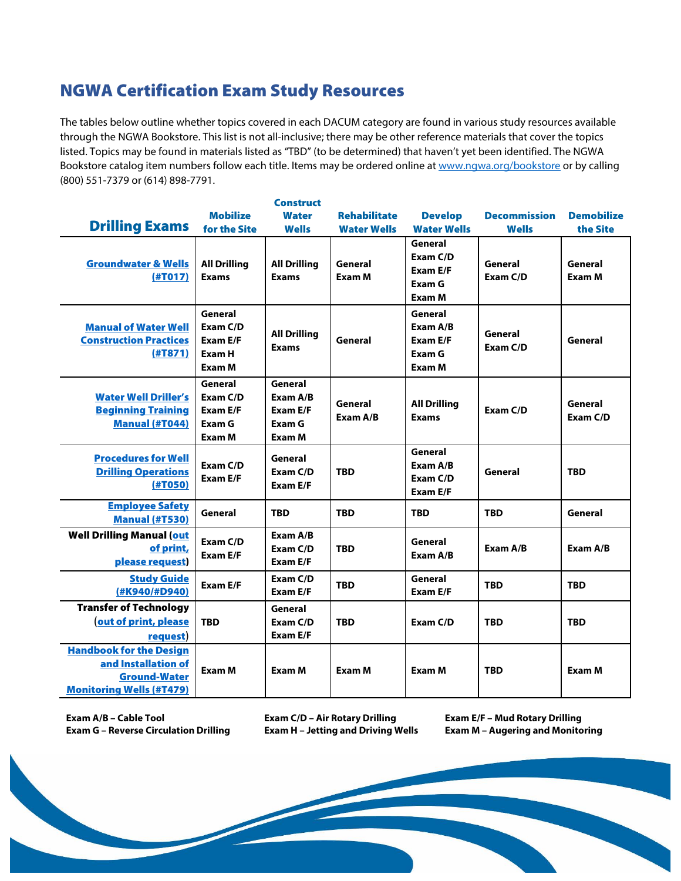# NGWA Certification Exam Study Resources

The tables below outline whether topics covered in each DACUM category are found in various study resources available through the NGWA Bookstore. This list is not all-inclusive; there may be other reference materials that cover the topics listed. Topics may be found in materials listed as "TBD" (to be determined) that haven't yet been identified. The NGWA Bookstore catalog item numbers follow each title. Items may be ordered online a[t www.ngwa.org/bookstore](http://www.ngwa.org/bookstore) or by calling (800) 551-7379 or (614) 898-7791.

|                                                                                                                 |                                                            | <b>Construct</b>                                    |                     |                                                     |                     |                     |
|-----------------------------------------------------------------------------------------------------------------|------------------------------------------------------------|-----------------------------------------------------|---------------------|-----------------------------------------------------|---------------------|---------------------|
|                                                                                                                 | <b>Mobilize</b>                                            | <b>Water</b>                                        | <b>Rehabilitate</b> | <b>Develop</b>                                      | <b>Decommission</b> | <b>Demobilize</b>   |
| <b>Drilling Exams</b>                                                                                           | for the Site                                               | <b>Wells</b>                                        | <b>Water Wells</b>  | <b>Water Wells</b>                                  | <b>Wells</b>        | the Site            |
| <b>Groundwater &amp; Wells</b><br>(HTO17)                                                                       | <b>All Drilling</b><br><b>Exams</b>                        | <b>All Drilling</b><br><b>Exams</b>                 | General<br>Exam M   | General<br>Exam C/D<br>Exam E/F<br>Exam G<br>Exam M | General<br>Exam C/D | General<br>Exam M   |
| <b>Manual of Water Well</b><br><b>Construction Practices</b><br>(HTS71)                                         | General<br>Exam C/D<br>Exam E/F<br>Exam H<br>Exam M        | <b>All Drilling</b><br><b>Exams</b>                 | General             | General<br>Exam A/B<br>Exam E/F<br>Exam G<br>Exam M | General<br>Exam C/D | General             |
| <b>Water Well Driller's</b><br><b>Beginning Training</b><br><b>Manual (#T044)</b>                               | General<br>Exam C/D<br><b>Exam E/F</b><br>Exam G<br>Exam M | General<br>Exam A/B<br>Exam E/F<br>Exam G<br>Exam M | General<br>Exam A/B | <b>All Drilling</b><br><b>Exams</b>                 | Exam C/D            | General<br>Exam C/D |
| <b>Procedures for Well</b><br><b>Drilling Operations</b><br>(HTO50)                                             | Exam C/D<br><b>Exam E/F</b>                                | General<br>Exam C/D<br>Exam E/F                     | <b>TBD</b>          | General<br>Exam A/B<br>Exam C/D<br><b>Exam E/F</b>  | General             | <b>TBD</b>          |
| <b>Employee Safety</b><br><b>Manual (#T530)</b>                                                                 | General                                                    | <b>TBD</b>                                          | <b>TBD</b>          | <b>TBD</b>                                          | <b>TBD</b>          | General             |
| <b>Well Drilling Manual (out</b><br>of print,<br>please request                                                 | Exam C/D<br><b>Exam E/F</b>                                | Exam A/B<br>Exam C/D<br>Exam E/F                    | <b>TBD</b>          | General<br>Exam A/B                                 | Exam A/B            | Exam A/B            |
| <b>Study Guide</b><br>(#K940/#D940)                                                                             | <b>Exam E/F</b>                                            | Exam C/D<br>Exam E/F                                | <b>TBD</b>          | General<br>Exam E/F                                 | <b>TBD</b>          | <b>TBD</b>          |
| <b>Transfer of Technology</b><br>out of print, please<br>request)                                               | <b>TBD</b>                                                 | General<br>Exam C/D<br>Exam E/F                     | <b>TBD</b>          | Exam C/D                                            | <b>TBD</b>          | <b>TBD</b>          |
| <b>Handbook for the Design</b><br>and Installation of<br><b>Ground-Water</b><br><b>Monitoring Wells (#T479)</b> | <b>Exam M</b>                                              | Exam M                                              | Exam M              | Exam M                                              | <b>TBD</b>          | Exam M              |

**Exam A/B – Cable Tool Exam C/D – Air Rotary Drilling Exam E/F – Mud Rotary Drilling Exam G – Reverse Circulation Drilling Exam H – Jetting and Driving Wells Exam M – Augering and Monitoring**